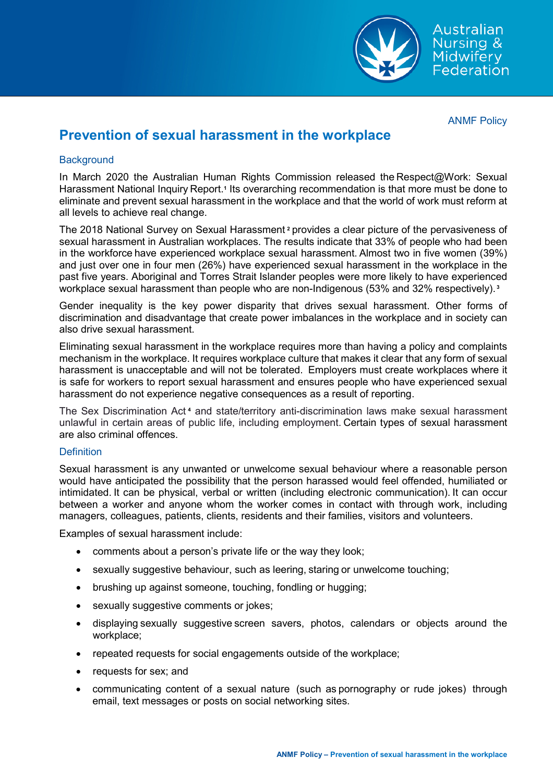

# **Prevention of sexual harassment in the workplace**

### **Background**

In March 2020 the Australian Human Rights Commission released the Respect@Work: Sexual Harassment National Inquiry Report.**1** Its overarching recommendation is that more must be done to eliminate and prevent sexual harassment in the workplace and that the world of work must reform at all levels to achieve real change.  

The 2018 National Survey on Sexual Harassment **2** provides a clear picture of the pervasiveness of sexual harassment in Australian workplaces. The results indicate that 33% of people who had been in the workforce have experienced workplace sexual harassment. Almost two in five women (39%) and just over one in four men (26%) have experienced sexual harassment in the workplace in the past five years. Aboriginal and Torres Strait Islander peoples were more likely to have experienced workplace sexual harassment than people who are non-Indigenous (53% and 32% respectively). **<sup>3</sup>**

Gender inequality is the key power disparity that drives sexual harassment. Other forms of discrimination and disadvantage that create power imbalances in the workplace and in society can also drive sexual harassment. 

Eliminating sexual harassment in the workplace requires more than having a policy and complaints mechanism in the workplace. It requires workplace culture that makes it clear that any form of sexual harassment is unacceptable and will not be tolerated.  Employers must create workplaces where it is safe for workers to report sexual harassment and ensures people who have experienced sexual harassment do not experience negative consequences as a result of reporting.  

The Sex Discrimination Act **<sup>4</sup>** and state/territory anti-discrimination laws make sexual harassment unlawful in certain areas of public life, including employment. Certain types of sexual harassment are also criminal offences. 

#### **Definition**

Sexual harassment is any unwanted or unwelcome sexual behaviour where a reasonable person would have anticipated the possibility that the person harassed would feel offended, humiliated or intimidated. It can be physical, verbal or written (including electronic communication). It can occur between a worker and anyone whom the worker comes in contact with through work, including managers, colleagues, patients, clients, residents and their families, visitors and volunteers.   

Examples of sexual harassment include:

- comments about a person's private life or the way they look;
- sexually suggestive behaviour, such as leering, staring or unwelcome touching;
- brushing up against someone, touching, fondling or hugging;
- sexually suggestive comments or jokes;
- displaying sexually suggestive screen savers, photos, calendars or objects around the workplace;
- repeated requests for social engagements outside of the workplace;
- requests for sex; and
- communicating content of a sexual nature  (such as pornography or rude jokes)  through email, text messages or posts on social networking sites.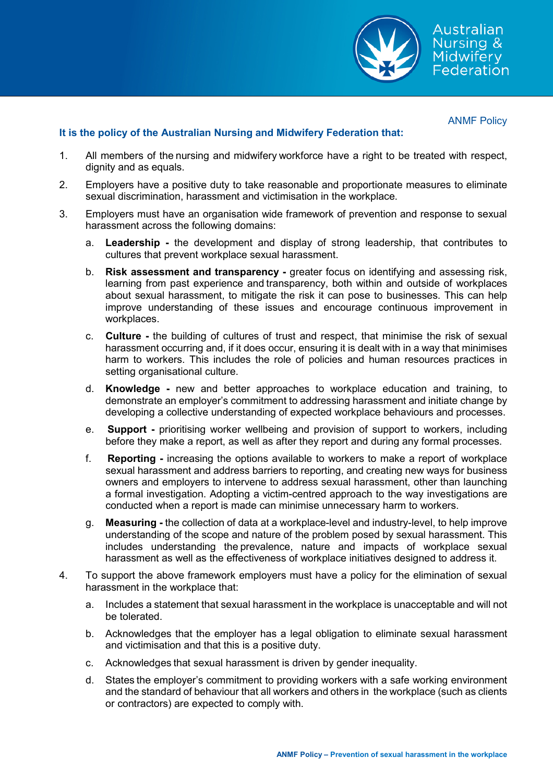

## **It is the policy of the Australian Nursing and Midwifery Federation that:**

- 1. All members of the nursing and midwifery workforce have a right to be treated with respect, dignity and as equals.
- 2. Employers have a positive duty to take reasonable and proportionate measures to eliminate sexual discrimination, harassment and victimisation in the workplace.
- 3. Employers must have an organisation wide framework of prevention and response to sexual harassment across the following domains:
	- a. **Leadership -** the development and display of strong leadership, that contributes to cultures that prevent workplace sexual harassment.
	- b. **Risk assessment and transparency -** greater focus on identifying and assessing risk, learning from past experience and transparency, both within and outside of workplaces about sexual harassment, to mitigate the risk it can pose to businesses. This can help improve understanding of these issues and encourage continuous improvement in workplaces.
	- c. **Culture -** the building of cultures of trust and respect, that minimise the risk of sexual harassment occurring and, if it does occur, ensuring it is dealt with in a way that minimises harm to workers. This includes the role of policies and human resources practices in setting organisational culture.
	- d. **Knowledge -** new and better approaches to workplace education and training, to demonstrate an employer's commitment to addressing harassment and initiate change by developing a collective understanding of expected workplace behaviours and processes.
	- e. **Support -** prioritising worker wellbeing and provision of support to workers, including before they make a report, as well as after they report and during any formal processes.
	- f. **Reporting -** increasing the options available to workers to make a report of workplace sexual harassment and address barriers to reporting, and creating new ways for business owners and employers to intervene to address sexual harassment, other than launching a formal investigation. Adopting a victim-centred approach to the way investigations are conducted when a report is made can minimise unnecessary harm to workers.
	- g. **Measuring -** the collection of data at a workplace-level and industry-level, to help improve understanding of the scope and nature of the problem posed by sexual harassment. This includes understanding the prevalence, nature and impacts of workplace sexual harassment as well as the effectiveness of workplace initiatives designed to address it.
- 4. To support the above framework employers must have a policy for the elimination of sexual harassment in the workplace that:
	- a. Includes a statement that sexual harassment in the workplace is unacceptable and will not be tolerated.
	- b. Acknowledges that the employer has a legal obligation to eliminate sexual harassment and victimisation and that this is a positive duty.
	- c. Acknowledges that sexual harassment is driven by gender inequality.
	- d. States the employer's commitment to providing workers with a safe working environment and the standard of behaviour that all workers and others in  the workplace (such as clients or contractors) are expected to comply with.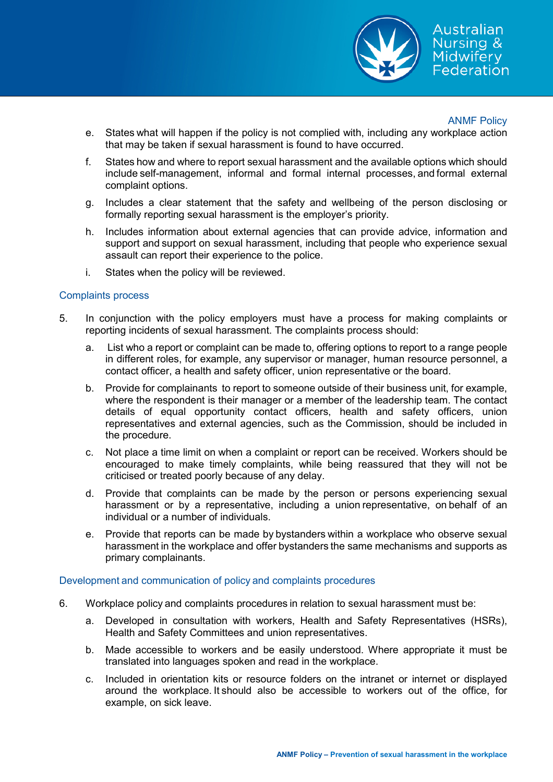

Australian **Nursing &** Midwiferv Federation

#### ANMF Policy

- e. States what will happen if the policy is not complied with, including any workplace action that may be taken if sexual harassment is found to have occurred.
- f. States how and where to report sexual harassment and the available options which should include self-management, informal and formal internal processes, and formal external complaint options.
- g. Includes a clear statement that the safety and wellbeing of the person disclosing or formally reporting sexual harassment is the employer's priority.
- h. Includes information about external agencies that can provide advice, information and support and support on sexual harassment, including that people who experience sexual assault can report their experience to the police.
- i. States when the policy will be reviewed.

#### Complaints process

- 5. In conjunction with the policy employers must have a process for making complaints or reporting incidents of sexual harassment. The complaints process should:
	- a.  List who a report or complaint can be made to, offering options to report to a range people in different roles, for example, any supervisor or manager, human resource personnel, a contact officer, a health and safety officer, union representative or the board.
	- b. Provide for complainants  to report to someone outside of their business unit, for example, where the respondent is their manager or a member of the leadership team. The contact details of equal opportunity contact officers, health and safety officers, union representatives and external agencies, such as the Commission, should be included in the procedure.
	- c. Not place a time limit on when a complaint or report can be received. Workers should be encouraged to make timely complaints, while being reassured that they will not be criticised or treated poorly because of any delay.
	- d. Provide that complaints can be made by the person or persons experiencing sexual harassment or by a representative, including a union representative, on behalf of an individual or a number of individuals.
	- e. Provide that reports can be made by bystanders within a workplace who observe sexual harassment in the workplace and offer bystanders the same mechanisms and supports as primary complainants.

#### Development and communication of policy and complaints procedures

- 6. Workplace policy and complaints procedures in relation to sexual harassment must be:
	- a. Developed in consultation with workers, Health and Safety Representatives (HSRs), Health and Safety Committees and union representatives.
	- b. Made accessible to workers and be easily understood. Where appropriate it must be translated into languages spoken and read in the workplace.
	- c. Included in orientation kits or resource folders on the intranet or internet or displayed around the workplace. It should also be accessible to workers out of the office, for example, on sick leave.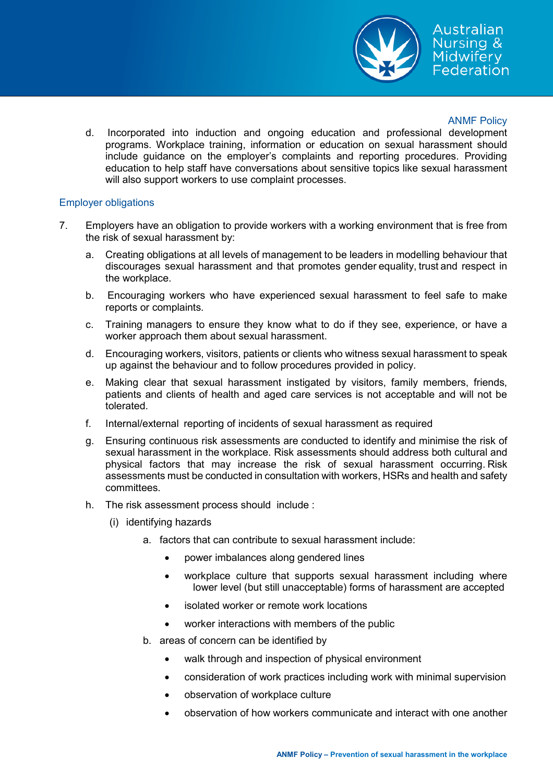

d.  Incorporated into induction and ongoing education and professional development programs. Workplace training, information or education on sexual harassment should include guidance on the employer's complaints and reporting procedures. Providing education to help staff have conversations about sensitive topics like sexual harassment will also support workers to use complaint processes. 

#### Employer obligations

- 7. Employers have an obligation to provide workers with a working environment that is free from the risk of sexual harassment by:
	- a. Creating obligations at all levels of management to be leaders in modelling behaviour that discourages sexual harassment and that promotes gender equality, trust and respect in the workplace.
	- b.  Encouraging workers who have experienced sexual harassment to feel safe to make reports or complaints.
	- c. Training managers to ensure they know what to do if they see, experience, or have a worker approach them about sexual harassment.
	- d. Encouraging workers, visitors, patients or clients who witness sexual harassment to speak up against the behaviour and to follow procedures provided in policy.
	- e. Making clear that sexual harassment instigated by visitors, family members, friends, patients and clients of health and aged care services is not acceptable and will not be tolerated.
	- f. Internal/external reporting of incidents of sexual harassment as required
	- g. Ensuring continuous risk assessments are conducted to identify and minimise the risk of sexual harassment in the workplace. Risk assessments should address both cultural and physical factors that may increase the risk of sexual harassment occurring. Risk assessments must be conducted in consultation with workers, HSRs and health and safety committees.
	- h. The risk assessment process should include :
		- (i) identifying hazards
			- a. factors that can contribute to sexual harassment include:
				- power imbalances along gendered lines
				- workplace culture that supports sexual harassment including where lower level (but still unacceptable) forms of harassment are accepted
				- isolated worker or remote work locations
				- worker interactions with members of the public
			- b. areas of concern can be identified by
				- walk through and inspection of physical environment
				- consideration of work practices including work with minimal supervision
				- observation of workplace culture
				- observation of how workers communicate and interact with one another